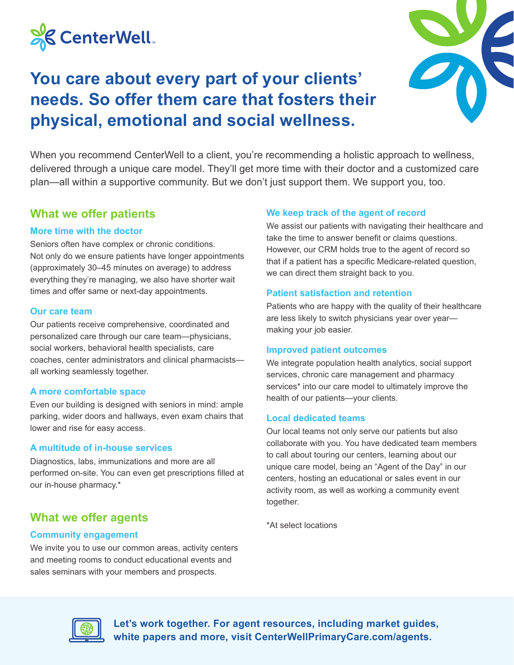

## **You care about every part of your clients' needs. So offer them care that fosters their physical, emotional and social wellness.**



When you recommend CenterWell to a client, you're recommending a holistic approach to wellness, delivered through a unique care model. They'll get more time with their doctor and a customized care plan—all within a supportive community. But we don't just support them. We support you, too.

## **What we offer patients**

#### **More time with the doctor**

Seniors often have complex or chronic conditions. Not only do we ensure patients have longer appointments (approximately 30–45 minutes on average) to address everything they're managing, we also have shorter wait times and offer same or next-day appointments.

#### **Our care team**

Our patients receive comprehensive, coordinated and personalized care through our care team—physicians, social workers, behavioral health specialists, care coaches, center administrators and clinical pharmacists all working seamlessly together.

#### **A more comfortable space**

Even our building is designed with seniors in mind: ample parking, wider doors and hallways, even exam chairs that lower and rise for easy access.

#### **A multitude of in-house services**

Diagnostics, labs, immunizations and more are all performed on-site. You can even get prescriptions filled at our in-house pharmacy.\*

## **What we offer agents**

#### **Community engagement**

We invite you to use our common areas, activity centers and meeting rooms to conduct educational events and sales seminars with your members and prospects.

#### **We keep track of the agent of record**

We assist our patients with navigating their healthcare and take the time to answer benefit or claims questions. However, our CRM holds true to the agent of record so that if a patient has a specific Medicare-related question, we can direct them straight back to you.

#### **Patient satisfaction and retention**

Patients who are happy with the quality of their healthcare are less likely to switch physicians year over year making your job easier.

#### **Improved patient outcomes**

We integrate population health analytics, social support services, chronic care management and pharmacy services<sup>\*</sup> into our care model to ultimately improve the health of our patients—your clients.

#### **Local dedicated teams**

Our local teams not only serve our patients but also collaborate with you. You have dedicated team members to call about touring our centers, learning about our unique care model, being an "Agent of the Day" in our centers, hosting an educational or sales event in our activity room, as well as working a community event together.

\*At select locations



**Let's work together. For agent resources, including market guides, white papers and more, visit CenterWellPrimaryCare.com/agents.**